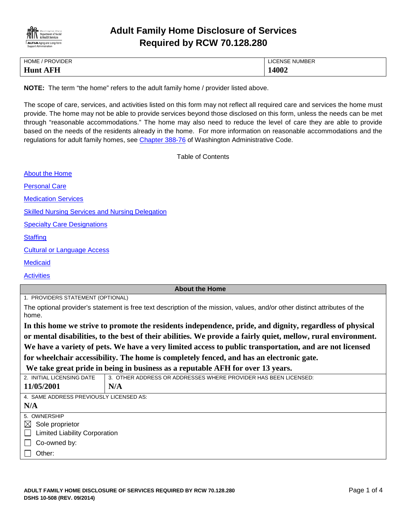

# **Adult Family Home Disclosure of Services Required by RCW 70.128.280**

| <b>HOME</b><br>/ PROVIDER | <b>LICENSE NUMBER</b>  |
|---------------------------|------------------------|
| Hunt.<br>EH<br>Д          | $\bm{A}$ 002<br>. TUVZ |

**NOTE:** The term "the home" refers to the adult family home / provider listed above.

The scope of care, services, and activities listed on this form may not reflect all required care and services the home must provide. The home may not be able to provide services beyond those disclosed on this form, unless the needs can be met through "reasonable accommodations." The home may also need to reduce the level of care they are able to provide based on the needs of the residents already in the home. For more information on reasonable accommodations and the regulations for adult family homes, see [Chapter 388-76](http://apps.leg.wa.gov/WAC/default.aspx?cite=388-76) of Washington Administrative Code.

<span id="page-0-0"></span>Table of Contents

| <b>About the Home</b>                                                                                                               |                                                                 |  |
|-------------------------------------------------------------------------------------------------------------------------------------|-----------------------------------------------------------------|--|
| <b>Personal Care</b>                                                                                                                |                                                                 |  |
| <b>Medication Services</b>                                                                                                          |                                                                 |  |
| <b>Skilled Nursing Services and Nursing Delegation</b>                                                                              |                                                                 |  |
| <b>Specialty Care Designations</b>                                                                                                  |                                                                 |  |
| <b>Staffing</b>                                                                                                                     |                                                                 |  |
| <b>Cultural or Language Access</b>                                                                                                  |                                                                 |  |
| <b>Medicaid</b>                                                                                                                     |                                                                 |  |
| <b>Activities</b>                                                                                                                   |                                                                 |  |
| <b>About the Home</b>                                                                                                               |                                                                 |  |
| 1. PROVIDERS STATEMENT (OPTIONAL)                                                                                                   |                                                                 |  |
| The optional provider's statement is free text description of the mission, values, and/or other distinct attributes of the<br>home. |                                                                 |  |
| In this home we strive to promote the residents independence, pride, and dignity, regardless of physical                            |                                                                 |  |
| or mental disabilities, to the best of their abilities. We provide a fairly quiet, mellow, rural environment.                       |                                                                 |  |
| We have a variety of pets. We have a very limited access to public transportation, and are not licensed                             |                                                                 |  |
| for wheelchair accessibility. The home is completely fenced, and has an electronic gate.                                            |                                                                 |  |
| We take great pride in being in business as a reputable AFH for over 13 years.                                                      |                                                                 |  |
| 2. INITIAL LICENSING DATE                                                                                                           | 3. OTHER ADDRESS OR ADDRESSES WHERE PROVIDER HAS BEEN LICENSED: |  |
| 11/05/2001                                                                                                                          | N/A                                                             |  |
| 4. SAME ADDRESS PREVIOUSLY LICENSED AS:                                                                                             |                                                                 |  |
| N/A                                                                                                                                 |                                                                 |  |
| 5. OWNERSHIP                                                                                                                        |                                                                 |  |
| $\boxtimes$ Sole proprietor                                                                                                         |                                                                 |  |
| $\Box$ Limited Liability Corporation                                                                                                |                                                                 |  |

- $\Box$  Co-owned by:
- $\Box$  Other: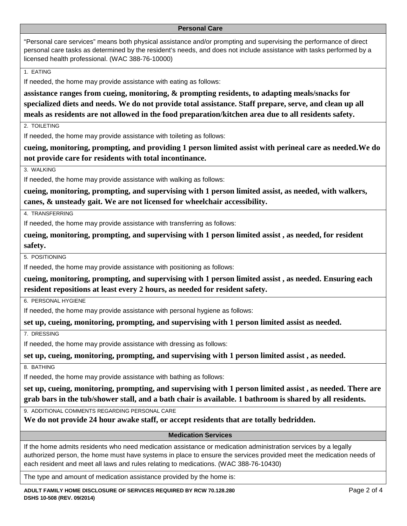#### <span id="page-1-0"></span>**Personal Care**

"Personal care services" means both physical assistance and/or prompting and supervising the performance of direct personal care tasks as determined by the resident's needs, and does not include assistance with tasks performed by a licensed health professional. (WAC 388-76-10000)

1. EATING

If needed, the home may provide assistance with eating as follows:

**assistance ranges from cueing, monitoring, & prompting residents, to adapting meals/snacks for specialized diets and needs. We do not provide total assistance. Staff prepare, serve, and clean up all meals as residents are not allowed in the food preparation/kitchen area due to all residents safety.**

2. TOILETING

If needed, the home may provide assistance with toileting as follows:

**cueing, monitoring, prompting, and providing 1 person limited assist with perineal care as needed.We do not provide care for residents with total incontinance.**

3. WALKING

If needed, the home may provide assistance with walking as follows:

**cueing, monitoring, prompting, and supervising with 1 person limited assist, as needed, with walkers, canes, & unsteady gait. We are not licensed for wheelchair accessibility.**

4. TRANSFERRING

If needed, the home may provide assistance with transferring as follows:

**cueing, monitoring, prompting, and supervising with 1 person limited assist , as needed, for resident safety.**

5. POSITIONING

If needed, the home may provide assistance with positioning as follows:

**cueing, monitoring, prompting, and supervising with 1 person limited assist , as needed. Ensuring each resident repositions at least every 2 hours, as needed for resident safety.**

6. PERSONAL HYGIENE

If needed, the home may provide assistance with personal hygiene as follows:

**set up, cueing, monitoring, prompting, and supervising with 1 person limited assist as needed.**

7. DRESSING

If needed, the home may provide assistance with dressing as follows:

**set up, cueing, monitoring, prompting, and supervising with 1 person limited assist , as needed.**

8. BATHING

If needed, the home may provide assistance with bathing as follows:

**set up, cueing, monitoring, prompting, and supervising with 1 person limited assist , as needed. There are grab bars in the tub/shower stall, and a bath chair is available. 1 bathroom is shared by all residents.**

9. ADDITIONAL COMMENTS REGARDING PERSONAL CARE

**We do not provide 24 hour awake staff, or accept residents that are totally bedridden.**

### <span id="page-1-1"></span>**Medication Services**

If the home admits residents who need medication assistance or medication administration services by a legally authorized person, the home must have systems in place to ensure the services provided meet the medication needs of each resident and meet all laws and rules relating to medications. (WAC 388-76-10430)

The type and amount of medication assistance provided by the home is: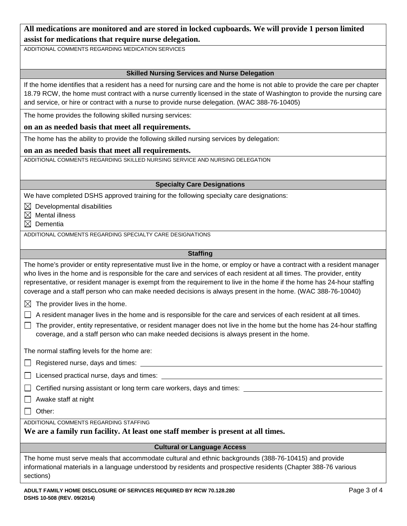# **All medications are monitored and are stored in locked cupboards. We will provide 1 person limited assist for medications that require nurse delegation.**

ADDITIONAL COMMENTS REGARDING MEDICATION SERVICES

#### <span id="page-2-0"></span>**Skilled Nursing Services and Nurse Delegation**

If the home identifies that a resident has a need for nursing care and the home is not able to provide the care per chapter 18.79 RCW, the home must contract with a nurse currently licensed in the state of Washington to provide the nursing care and service, or hire or contract with a nurse to provide nurse delegation. (WAC 388-76-10405)

The home provides the following skilled nursing services:

#### **on an as needed basis that meet all requirements.**

The home has the ability to provide the following skilled nursing services by delegation:

#### **on an as needed basis that meet all requirements.**

ADDITIONAL COMMENTS REGARDING SKILLED NURSING SERVICE AND NURSING DELEGATION

#### <span id="page-2-1"></span>**Specialty Care Designations**

We have completed DSHS approved training for the following specialty care designations:

 $\boxtimes$  Developmental disabilities

- $\boxtimes$  Mental illness
- $\boxtimes$  Dementia

ADDITIONAL COMMENTS REGARDING SPECIALTY CARE DESIGNATIONS

#### <span id="page-2-2"></span>**Staffing**

The home's provider or entity representative must live in the home, or employ or have a contract with a resident manager who lives in the home and is responsible for the care and services of each resident at all times. The provider, entity representative, or resident manager is exempt from the requirement to live in the home if the home has 24-hour staffing coverage and a staff person who can make needed decisions is always present in the home. (WAC 388-76-10040)

 $\boxtimes$  The provider lives in the home.

 $\Box$  A resident manager lives in the home and is responsible for the care and services of each resident at all times.

 $\Box$  The provider, entity representative, or resident manager does not live in the home but the home has 24-hour staffing coverage, and a staff person who can make needed decisions is always present in the home.

The normal staffing levels for the home are:

 $\Box$  Registered nurse, days and times:

 $\Box$  Licensed practical nurse, days and times:  $\Box$ 

 $\Box$  Certified nursing assistant or long term care workers, days and times:

 $\Box$  Awake staff at night

□ Other:

ADDITIONAL COMMENTS REGARDING STAFFING

## **We are a family run facility. At least one staff member is present at all times.**

#### <span id="page-2-3"></span>**Cultural or Language Access**

The home must serve meals that accommodate cultural and ethnic backgrounds (388-76-10415) and provide informational materials in a language understood by residents and prospective residents (Chapter 388-76 various sections)